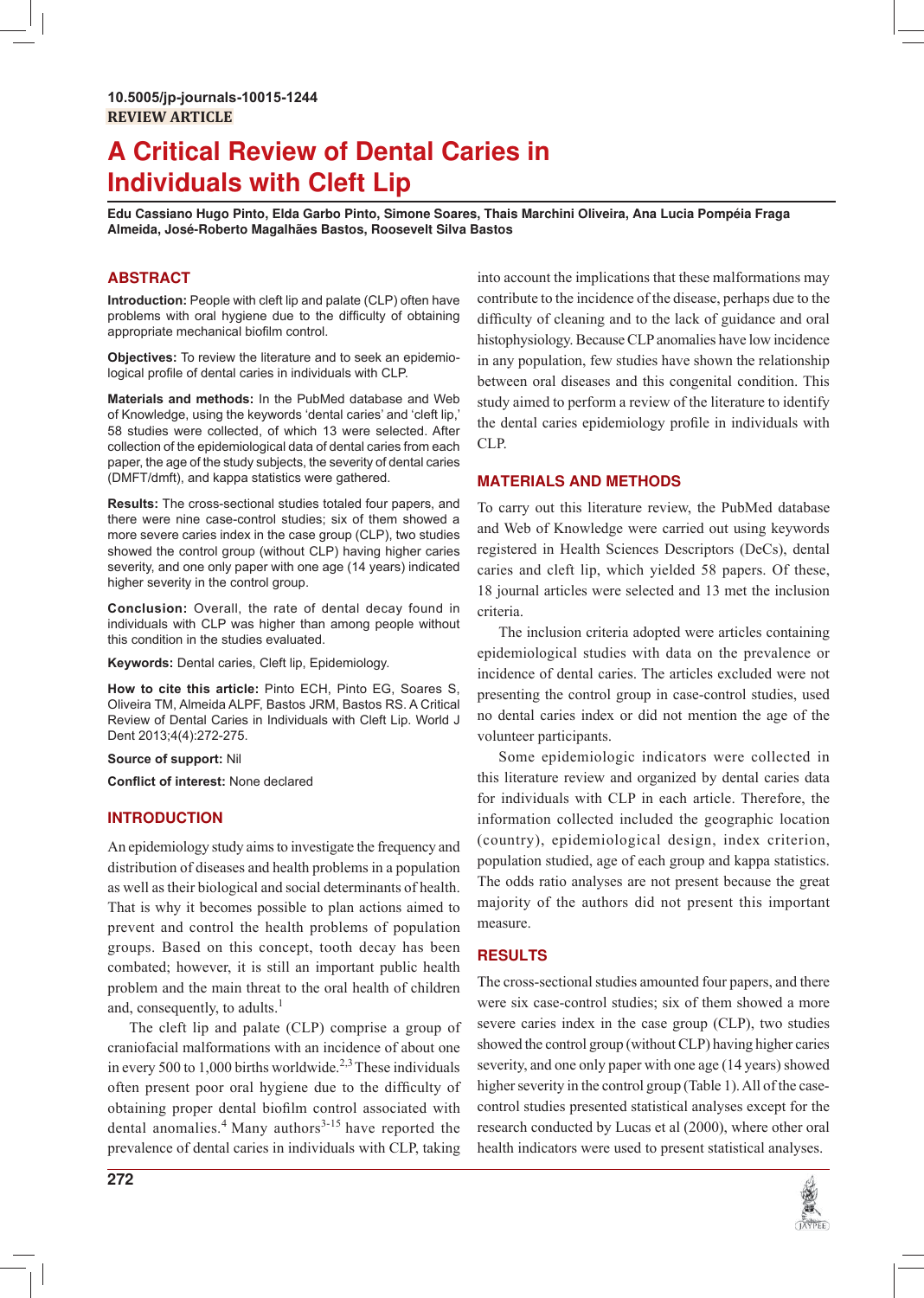# **A Critical Review of Dental Caries in Individuals with Cleft Lip**

**Edu Cassiano Hugo Pinto, Elda Garbo Pinto, Simone Soares, Thais Marchini Oliveira, Ana Lucia Pompéia Fraga Almeida, José-Roberto Magalhães Bastos, Roosevelt Silva Bastos**

# **ABSTRACT**

**Introduction:** People with cleft lip and palate (CLP) often have problems with oral hygiene due to the difficulty of obtaining appropriate mechanical biofilm control.

**Objectives:** To review the literature and to seek an epidemiological profile of dental caries in individuals with CLP.

**Materials and methods:** In the PubMed database and Web of Knowledge, using the keywords 'dental caries' and 'cleft lip,' 58 studies were collected, of which 13 were selected. After collection of the epidemiological data of dental caries from each paper, the age of the study subjects, the severity of dental caries (DMFT/dmft), and kappa statistics were gathered.

**Results:** The cross-sectional studies totaled four papers, and there were nine case-control studies; six of them showed a more severe caries index in the case group (CLP), two studies showed the control group (without CLP) having higher caries severity, and one only paper with one age (14 years) indicated higher severity in the control group.

**Conclusion:** Overall, the rate of dental decay found in individuals with CLP was higher than among people without this condition in the studies evaluated.

Keywords: Dental caries, Cleft lip, Epidemiology.

**How to cite this article:** Pinto ECH, Pinto EG, Soares S, Oliveira TM, Almeida ALPF, Bastos JRM, Bastos RS. A Critical Review of Dental Caries in Individuals with Cleft Lip. World J Dent 2013;4(4):272-275.

**Source of support:** Nil

**Conflict of interest: None declared** 

# **INTRODUCTION**

An epidemiology study aims to investigate the frequency and distribution of diseases and health problems in a population as well as their biological and social determinants of health. That is why it becomes possible to plan actions aimed to prevent and control the health problems of population groups. Based on this concept, tooth decay has been combated; however, it is still an important public health problem and the main threat to the oral health of children and, consequently, to adults. $<sup>1</sup>$ </sup>

 The cleft lip and palate (CLP) comprise a group of craniofacial malformations with an incidence of about one in every 500 to 1,000 births worldwide.<sup>2,3</sup> These individuals often present poor oral hygiene due to the difficulty of obtaining proper dental biofilm control associated with dental anomalies.<sup>4</sup> Many authors<sup>3-15</sup> have reported the prevalence of dental caries in individuals with CLP, taking

into account the implications that these malformations may contribute to the incidence of the disease, perhaps due to the difficulty of cleaning and to the lack of guidance and oral histophysiology. Because CLP anomalies have low incidence in any population, few studies have shown the relationship between oral diseases and this congenital condition. This study aimed to perform a review of the literature to identify the dental caries epidemiology profile in individuals with CLP.

# **MATERIALS AND METHODS**

To carry out this literature review, the PubMed database and Web of Knowledge were carried out using keywords registered in Health Sciences Descriptors (DeCs), dental caries and cleft lip, which yielded 58 papers. Of these, 18 journal articles were selected and 13 met the inclusion criteria.

The inclusion criteria adopted were articles containing epidemiological studies with data on the prevalence or incidence of dental caries. The articles excluded were not presenting the control group in case-control studies, used no dental caries index or did not mention the age of the volunteer participants.

Some epidemiologic indicators were collected in this literature review and organized by dental caries data for individuals with CLP in each article. Therefore, the information collected included the geographic location (country), epidemiological design, index criterion, population studied, age of each group and kappa statistics. The odds ratio analyses are not present because the great majority of the authors did not present this important measure.

# **RESULTS**

The cross-sectional studies amounted four papers, and there were six case-control studies; six of them showed a more severe caries index in the case group (CLP), two studies showed the control group (without CLP) having higher caries severity, and one only paper with one age (14 years) showed higher severity in the control group (Table 1). All of the casecontrol studies presented statistical analyses except for the research conducted by Lucas et al (2000), where other oral health indicators were used to present statistical analyses.

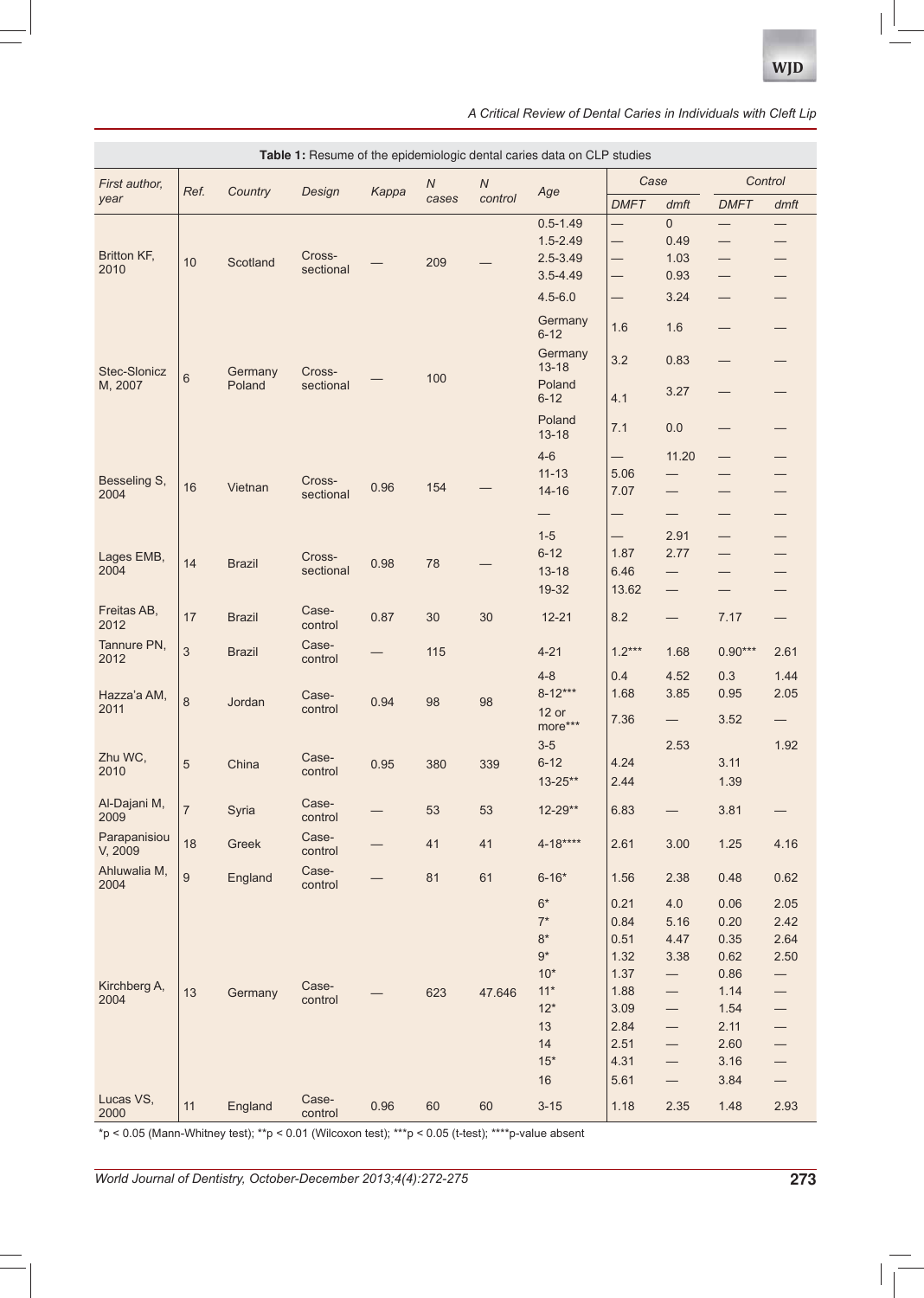| A Critical Review of Dental Caries in Individuals with Cleft Lip |  |
|------------------------------------------------------------------|--|
|------------------------------------------------------------------|--|

| Table 1: Resume of the epidemiologic dental caries data on CLP studies |                  |                   |                     |       |                           |                       |                      |                          |                                |             |                                |
|------------------------------------------------------------------------|------------------|-------------------|---------------------|-------|---------------------------|-----------------------|----------------------|--------------------------|--------------------------------|-------------|--------------------------------|
| First author.<br>year                                                  | Ref.             | Country           | Design              | Kappa | $\boldsymbol{N}$<br>cases | ${\cal N}$<br>control | Age                  | Case                     |                                | Control     |                                |
|                                                                        |                  |                   |                     |       |                           |                       |                      | <b>DMFT</b>              | dmft                           | <b>DMFT</b> | dmft                           |
| Britton KF,<br>2010                                                    | 10               | Scotland          | Cross-<br>sectional |       | 209                       |                       | $0.5 - 1.49$         | $\overline{\phantom{0}}$ | $\mathbf 0$                    | —           | —                              |
|                                                                        |                  |                   |                     |       |                           |                       | $1.5 - 2.49$         | —                        | 0.49                           | —           | —                              |
|                                                                        |                  |                   |                     |       |                           |                       | $2.5 - 3.49$         |                          | 1.03                           |             |                                |
|                                                                        |                  |                   |                     |       |                           |                       | $3.5 - 4.49$         | —                        | 0.93                           |             |                                |
|                                                                        |                  |                   |                     |       |                           |                       | $4.5 - 6.0$          | $\overline{\phantom{0}}$ | 3.24                           |             |                                |
| Stec-Slonicz<br>M, 2007                                                | $\,6$            | Germany<br>Poland | Cross-<br>sectional |       | 100                       |                       | Germany<br>$6 - 12$  | 1.6                      | 1.6                            |             |                                |
|                                                                        |                  |                   |                     |       |                           |                       | Germany<br>$13 - 18$ | 3.2                      | 0.83                           |             |                                |
|                                                                        |                  |                   |                     |       |                           |                       | Poland<br>$6 - 12$   | 4.1                      | 3.27                           |             |                                |
|                                                                        |                  |                   |                     |       |                           |                       | Poland<br>$13 - 18$  | 7.1                      | 0.0                            | —           |                                |
|                                                                        |                  |                   |                     |       |                           |                       | $4 - 6$              |                          | 11.20                          |             |                                |
| Besseling S,                                                           |                  |                   | Cross-              |       |                           |                       | $11 - 13$            | 5.06                     |                                |             |                                |
| 2004                                                                   | 16               | Vietnan           | sectional           | 0.96  | 154                       |                       | $14 - 16$            | 7.07                     |                                |             |                                |
|                                                                        |                  |                   |                     |       |                           |                       | —                    | —                        |                                |             | —                              |
|                                                                        |                  |                   |                     |       |                           |                       | $1-5$                | $\overline{\phantom{0}}$ | 2.91                           | —           |                                |
| Lages EMB,                                                             |                  |                   | Cross-              |       | 78                        |                       | $6 - 12$             | 1.87                     | 2.77                           | —           |                                |
| 2004                                                                   | 14               | <b>Brazil</b>     | sectional           | 0.98  |                           |                       | $13 - 18$            | 6.46                     |                                |             |                                |
|                                                                        |                  |                   |                     |       |                           |                       | 19-32                | 13.62                    | $\qquad \qquad \longleftarrow$ |             |                                |
| Freitas AB,<br>2012                                                    | 17               | <b>Brazil</b>     | Case-<br>control    | 0.87  | 30                        | 30                    | $12 - 21$            | 8.2                      |                                | 7.17        |                                |
| Tannure PN,<br>2012                                                    | $\mathfrak{S}$   | <b>Brazil</b>     | Case-<br>control    |       | 115                       |                       | $4 - 21$             | $1.2***$                 | 1.68                           | $0.90***$   | 2.61                           |
| Hazza'a AM,<br>2011                                                    | 8                | Jordan            | Case-<br>control    | 0.94  | 98                        | 98                    | $4 - 8$              | 0.4                      | 4.52                           | 0.3         | 1.44                           |
|                                                                        |                  |                   |                     |       |                           |                       | $8 - 12***$          | 1.68                     | 3.85                           | 0.95        | 2.05                           |
|                                                                        |                  |                   |                     |       |                           |                       | $12$ or<br>more***   | 7.36                     | $\qquad \qquad -$              | 3.52        | $\overline{\phantom{0}}$       |
| Zhu WC,                                                                |                  |                   |                     |       |                           |                       | $3-5$                |                          | 2.53                           |             | 1.92                           |
| 2010                                                                   | 5                | China             | Case-<br>control    | 0.95  | 380                       | 339                   | $6 - 12$             | 4.24                     |                                | 3.11        |                                |
|                                                                        |                  |                   |                     |       |                           |                       | $13 - 25**$          | 2.44                     |                                | 1.39        |                                |
| Al-Dajani M,<br>2009                                                   | $\overline{7}$   | Syria             | Case-<br>control    |       | 53                        | 53                    | $12 - 29**$          | 6.83                     |                                | 3.81        |                                |
| Parapanisiou<br>V, 2009                                                | 18               | Greek             | Case-<br>control    |       | 41                        | 41                    | $4 - 18***$          | 2.61                     | 3.00                           | 1.25        | 4.16                           |
| Ahluwalia M,<br>2004                                                   | $\boldsymbol{9}$ | England           | Case-<br>control    |       | 81                        | 61                    | $6 - 16*$            | 1.56                     | 2.38                           | 0.48        | 0.62                           |
|                                                                        |                  |                   |                     |       |                           |                       | $6*$                 | 0.21                     | 4.0                            | 0.06        | 2.05                           |
| Kirchberg A,<br>2004                                                   | 13               | Germany           | Case-<br>control    |       | 623                       | 47.646                | $7^\star$            | 0.84                     | 5.16                           | 0.20        | 2.42                           |
|                                                                        |                  |                   |                     |       |                           |                       | $8*$                 | 0.51                     | 4.47                           | 0.35        | 2.64                           |
|                                                                        |                  |                   |                     |       |                           |                       | $9^{\star}$          | 1.32                     | 3.38                           | 0.62        | 2.50                           |
|                                                                        |                  |                   |                     |       |                           |                       | $10*$                | 1.37                     | —                              | 0.86        | $\qquad \qquad -$              |
|                                                                        |                  |                   |                     |       |                           |                       | $11*$                | 1.88                     | —                              | 1.14        | $\qquad \qquad -$              |
|                                                                        |                  |                   |                     |       |                           |                       | $12*$                | 3.09                     | $\overline{\phantom{0}}$       | 1.54        | $\qquad \qquad \longleftarrow$ |
|                                                                        |                  |                   |                     |       |                           |                       | 13                   | 2.84                     | $\qquad \qquad -$              | 2.11        |                                |
|                                                                        |                  |                   |                     |       |                           |                       | 14                   | 2.51                     | $\qquad \qquad -$              | 2.60        | —                              |
|                                                                        |                  |                   |                     |       |                           |                       | $15*$                | 4.31                     | $\qquad \qquad -$              | 3.16        | $\qquad \qquad -$              |
|                                                                        |                  |                   |                     |       |                           |                       | 16                   | 5.61                     |                                | 3.84        | $\qquad \qquad -$              |
| Lucas VS,<br>2000                                                      | 11               | England           | Case-<br>control    | 0.96  | 60                        | 60                    | $3 - 15$             | 1.18                     | 2.35                           | 1.48        | 2.93                           |

 $\tau$ p < 0.05 (Mann-Whitney test); \*\*p < 0.01 (Wilcoxon test); \*\*\*p < 0.05 (t-test); \*\*\*\*p-value absent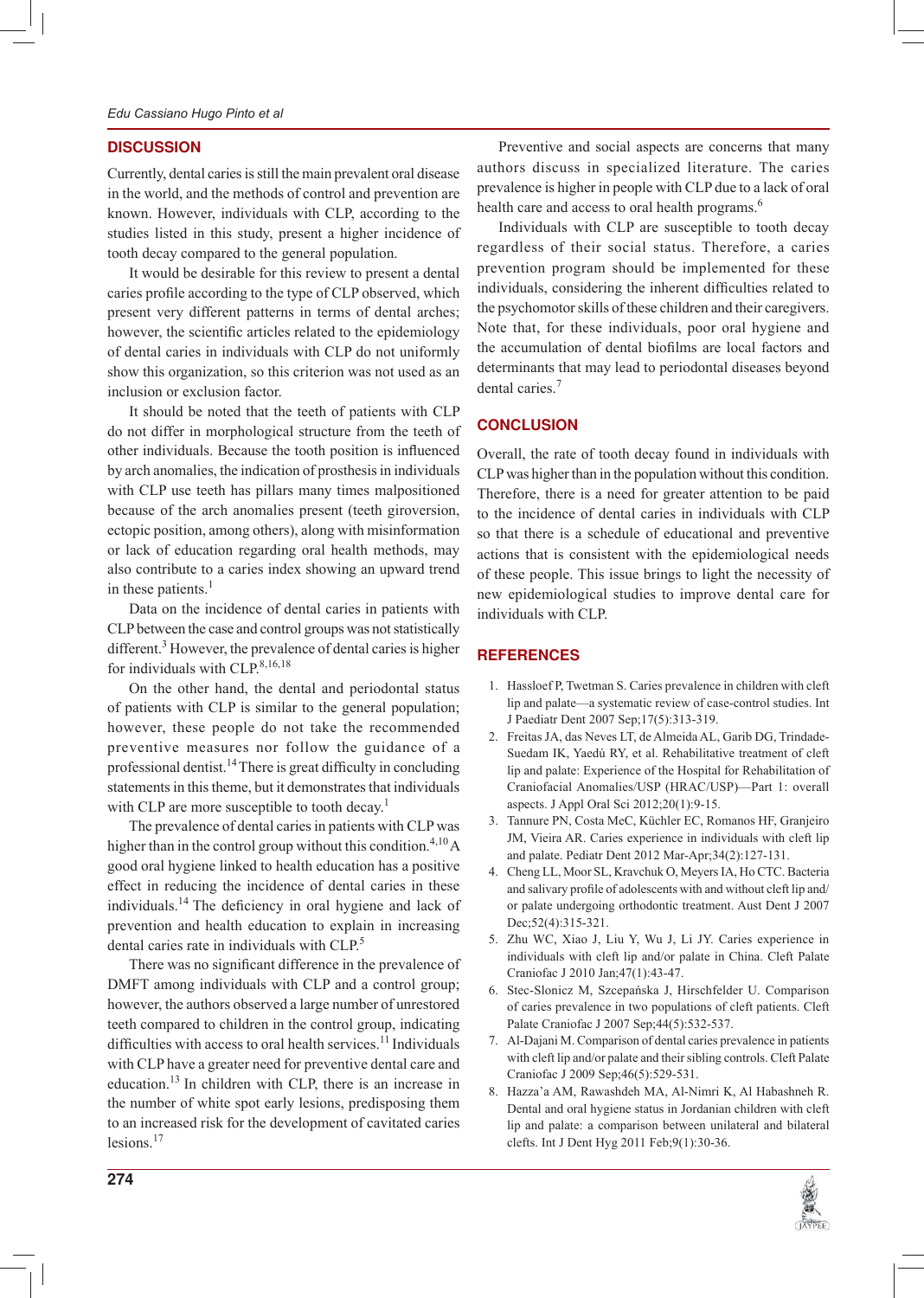## **DISCUSSION**

Currently, dental caries is still the main prevalent oral disease in the world, and the methods of control and prevention are known. However, individuals with CLP, according to the studies listed in this study, present a higher incidence of tooth decay compared to the general population.

It would be desirable for this review to present a dental caries profile according to the type of CLP observed, which present very different patterns in terms of dental arches; however, the scientific articles related to the epidemiology of dental caries in individuals with CLP do not uniformly show this organization, so this criterion was not used as an inclusion or exclusion factor.

It should be noted that the teeth of patients with CLP do not differ in morphological structure from the teeth of other individuals. Because the tooth position is influenced by arch anomalies, the indication of prosthesis in individuals with CLP use teeth has pillars many times malpositioned because of the arch anomalies present (teeth giroversion, ectopic position, among others), along with misinformation or lack of education regarding oral health methods, may also contribute to a caries index showing an upward trend in these patients. $<sup>1</sup>$ </sup>

Data on the incidence of dental caries in patients with CLP between the case and control groups was not statistically different.<sup>3</sup> However, the prevalence of dental caries is higher for individuals with CLP. $8,16,18$ 

On the other hand, the dental and periodontal status of patients with CLP is similar to the general population; however, these people do not take the recommended preventive measures nor follow the guidance of a professional dentist.<sup>14</sup> There is great difficulty in concluding statements in this theme, but it demonstrates that individuals with CLP are more susceptible to tooth decay.<sup>1</sup>

The prevalence of dental caries in patients with CLP was higher than in the control group without this condition.<sup>4,10</sup> A good oral hygiene linked to health education has a positive effect in reducing the incidence of dental caries in these individuals.<sup>14</sup> The deficiency in oral hygiene and lack of prevention and health education to explain in increasing dental caries rate in individuals with CLP.<sup>5</sup>

There was no significant difference in the prevalence of DMFT among individuals with CLP and a control group; however, the authors observed a large number of unrestored teeth compared to children in the control group, indicating difficulties with access to oral health services.<sup>11</sup> Individuals with CLP have a greater need for preventive dental care and education.<sup>13</sup> In children with CLP, there is an increase in the number of white spot early lesions, predisposing them to an increased risk for the development of cavitated caries lesions.<sup>17</sup>

Preventive and social aspects are concerns that many authors discuss in specialized literature. The caries prevalence is higher in people with CLP due to a lack of oral health care and access to oral health programs.<sup>6</sup>

Individuals with CLP are susceptible to tooth decay regardless of their social status. Therefore, a caries prevention program should be implemented for these individuals, considering the inherent difficulties related to the psychomotor skills of these children and their caregivers. Note that, for these individuals, poor oral hygiene and the accumulation of dental biofilms are local factors and determinants that may lead to periodontal diseases beyond dental caries.<sup>7</sup>

# **CONCLUSION**

Overall, the rate of tooth decay found in individuals with CLP was higher than in the population without this condition. Therefore, there is a need for greater attention to be paid to the incidence of dental caries in individuals with CLP so that there is a schedule of educational and preventive actions that is consistent with the epidemiological needs of these people. This issue brings to light the necessity of new epidemiological studies to improve dental care for individuals with CLP.

# **REFERENCES**

- 1. Hassloef P, Twetman S. Caries prevalence in children with cleft lip and palate—a systematic review of case-control studies. Int J Paediatr Dent 2007 Sep;17(5):313-319.
- 2. Freitas JA, das Neves LT, de Almeida AL, Garib DG, Trindade-Suedam IK, Yaedú RY, et al. Rehabilitative treatment of cleft lip and palate: Experience of the Hospital for Rehabilitation of Craniofacial Anomalies/USP (HRAC/USP)—Part 1: overall aspects. J Appl Oral Sci 2012;20(1):9-15.
- 3. Tannure PN, Costa MeC, Küchler EC, Romanos HF, Granjeiro JM, Vieira AR. Caries experience in individuals with cleft lip and palate. Pediatr Dent 2012 Mar-Apr;34(2):127-131.
- 4. Cheng LL, Moor SL, Kravchuk O, Meyers IA, Ho CTC. Bacteria and salivary profile of adolescents with and without cleft lip and/ or palate undergoing orthodontic treatment. Aust Dent J 2007 Dec; 52(4): 315-321.
- 5. Zhu WC, Xiao J, Liu Y, Wu J, Li JY. Caries experience in individuals with cleft lip and/or palate in China. Cleft Palate Craniofac J 2010 Jan;47(1):43-47.
- 6. Stec-Slonicz M, Szcepańska J, Hirschfelder U. Comparison of caries prevalence in two populations of cleft patients. Cleft Palate Craniofac J 2007 Sep;44(5):532-537.
- 7. Al-Dajani M. Comparison of dental caries prevalence in patients with cleft lip and/or palate and their sibling controls. Cleft Palate Craniofac J 2009 Sep;46(5):529-531.
- 8. Hazza'a AM, Rawashdeh MA, Al-Nimri K, Al Habashneh R. Dental and oral hygiene status in Jordanian children with cleft lip and palate: a comparison between unilateral and bilateral clefts. Int J Dent Hyg 2011 Feb;9(1):30-36.